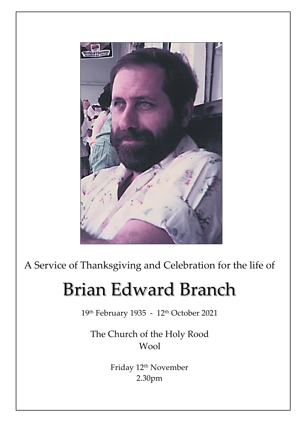

A Service of Thanksgiving and Celebration for the life of

# Brian Edward Branch

19th February 1935 - 12th October 2021

The Church of the Holy Rood Wool

> Friday 12 th November 2.30pm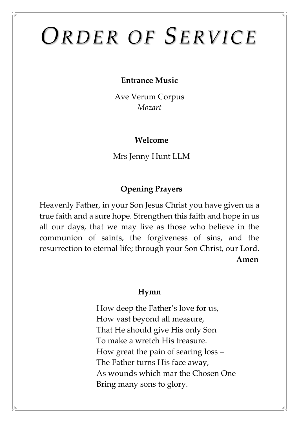# *ORDER OF SERVICE*

# **Entrance Music**

Ave Verum Corpus *Mozart*

# **Welcome**

Mrs Jenny Hunt LLM

# **Opening Prayers**

Heavenly Father, in your Son Jesus Christ you have given us a true faith and a sure hope. Strengthen this faith and hope in us all our days, that we may live as those who believe in the communion of saints, the forgiveness of sins, and the resurrection to eternal life; through your Son Christ, our Lord. **Amen**

#### **Hymn**

How deep the Father's love for us, How vast beyond all measure, That He should give His only Son To make a wretch His treasure. How great the pain of searing loss – The Father turns His face away, As wounds which mar the Chosen One Bring many sons to glory.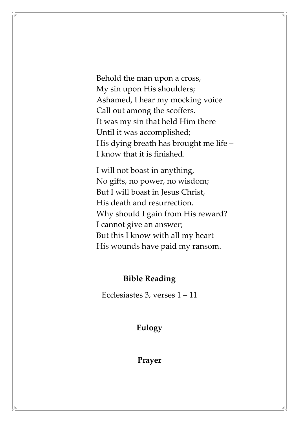Behold the man upon a cross, My sin upon His shoulders; Ashamed, I hear my mocking voice Call out among the scoffers. It was my sin that held Him there Until it was accomplished; His dying breath has brought me life – I know that it is finished.

I will not boast in anything, No gifts, no power, no wisdom; But I will boast in Jesus Christ, His death and resurrection. Why should I gain from His reward? I cannot give an answer; But this I know with all my heart – His wounds have paid my ransom.

# **Bible Reading**

Ecclesiastes 3, verses 1 – 11

# **Eulogy**

# **Prayer**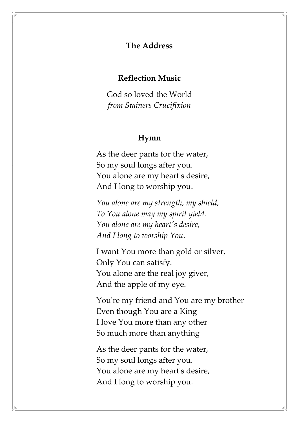# **The Address**

# **Reflection Music**

God so loved the World *from Stainers Crucifixion*

#### **Hymn**

As the deer pants for the water, So my soul longs after you. You alone are my heart's desire, And I long to worship you.

*You alone are my strength, my shield, To You alone may my spirit yield. You alone are my heart's desire, And I long to worship You*.

I want You more than gold or silver, Only You can satisfy. You alone are the real joy giver, And the apple of my eye.

You're my friend and You are my brother Even though You are a King I love You more than any other So much more than anything

As the deer pants for the water, So my soul longs after you. You alone are my heart's desire, And I long to worship you.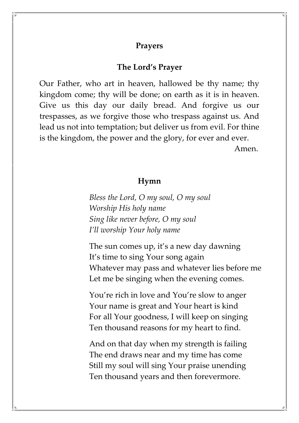# **Prayers**

### **The Lord's Prayer**

Our Father, who art in heaven, hallowed be thy name; thy kingdom come; thy will be done; on earth as it is in heaven. Give us this day our daily bread. And forgive us our trespasses, as we forgive those who trespass against us. And lead us not into temptation; but deliver us from evil. For thine is the kingdom, the power and the glory, for ever and ever.

Amen.

### **Hymn**

*Bless the Lord, O my soul, O my soul Worship His holy name Sing like never before, O my soul I'll worship Your holy name*

The sun comes up, it's a new day dawning It's time to sing Your song again Whatever may pass and whatever lies before me Let me be singing when the evening comes.

You're rich in love and You're slow to anger Your name is great and Your heart is kind For all Your goodness, I will keep on singing Ten thousand reasons for my heart to find.

And on that day when my strength is failing The end draws near and my time has come Still my soul will sing Your praise unending Ten thousand years and then forevermore.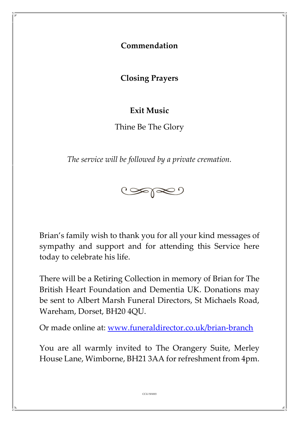**Commendation**

**Closing Prayers**

**Exit Music**

Thine Be The Glory

*The service will be followed by a private cremation.*



Brian's family wish to thank you for all your kind messages of sympathy and support and for attending this Service here today to celebrate his life.

There will be a Retiring Collection in memory of Brian for The British Heart Foundation and Dementia UK. Donations may be sent to Albert Marsh Funeral Directors, St Michaels Road, Wareham, Dorset, BH20 4QU.

Or made online at: www.funeraldirector.co.uk/brian-branch

You are all warmly invited to The Orangery Suite, Merley House Lane, Wimborne, BH21 3AA for refreshment from 4pm.

CCLI 501003